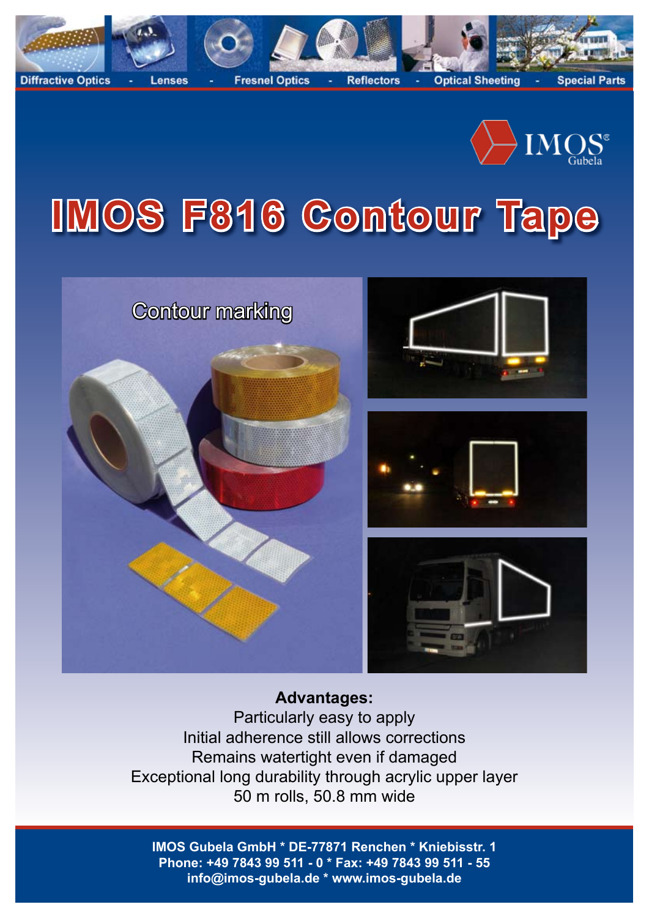



# **IMOS F816 Contour Tape**



# **Advantages:**

Particularly easy to apply Initial adherence still allows corrections Remains watertight even if damaged Exceptional long durability through acrylic upper layer 50 m rolls, 50.8 mm wide

**IMOS Gubela GmbH \* DE-77871 Renchen \* Kniebisstr. 1 Phone: +49 7843 99 511 - 0 \* Fax: +49 7843 99 511 - 55 info@imos-gubela.de \* www.imos-gubela.de**